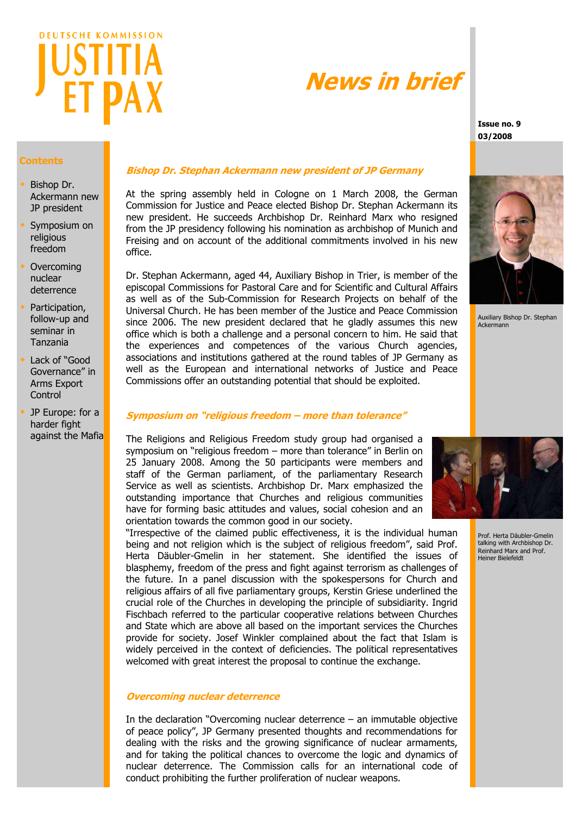

# **News in brief**

**Issue no. 9 03/2008**

# **Contents**

- Bishop Dr. Ackermann new JP president
- Symposium on religious freedom
- Overcoming nuclear deterrence
- Participation, follow-up and seminar in Tanzania
- Lack of "Good Governance" in Arms Export Control
- JP Europe: for a harder fight against the Mafia

# **Bishop Dr. Stephan Ackermann new president of JP Germany**

At the spring assembly held in Cologne on 1 March 2008, the German Commission for Justice and Peace elected Bishop Dr. Stephan Ackermann its new president. He succeeds Archbishop Dr. Reinhard Marx who resigned from the JP presidency following his nomination as archbishop of Munich and Freising and on account of the additional commitments involved in his new office.

Dr. Stephan Ackermann, aged 44, Auxiliary Bishop in Trier, is member of the episcopal Commissions for Pastoral Care and for Scientific and Cultural Affairs as well as of the Sub-Commission for Research Projects on behalf of the Universal Church. He has been member of the Justice and Peace Commission since 2006. The new president declared that he gladly assumes this new office which is both a challenge and a personal concern to him. He said that the experiences and competences of the various Church agencies, associations and institutions gathered at the round tables of JP Germany as well as the European and international networks of Justice and Peace Commissions offer an outstanding potential that should be exploited.

# **Symposium on "religious freedom – more than tolerance"**

The Religions and Religious Freedom study group had organised a symposium on "religious freedom – more than tolerance" in Berlin on 25 January 2008. Among the 50 participants were members and staff of the German parliament, of the parliamentary Research Service as well as scientists. Archbishop Dr. Marx emphasized the outstanding importance that Churches and religious communities have for forming basic attitudes and values, social cohesion and an orientation towards the common good in our society.

"Irrespective of the claimed public effectiveness, it is the individual human being and not religion which is the subject of religious freedom", said Prof. Herta Däubler-Gmelin in her statement. She identified the issues of blasphemy, freedom of the press and fight against terrorism as challenges of the future. In a panel discussion with the spokespersons for Church and religious affairs of all five parliamentary groups, Kerstin Griese underlined the crucial role of the Churches in developing the principle of subsidiarity. Ingrid Fischbach referred to the particular cooperative relations between Churches and State which are above all based on the important services the Churches provide for society. Josef Winkler complained about the fact that Islam is widely perceived in the context of deficiencies. The political representatives welcomed with great interest the proposal to continue the exchange.

# **Overcoming nuclear deterrence**

In the declaration "Overcoming nuclear deterrence – an immutable objective of peace policy", JP Germany presented thoughts and recommendations for dealing with the risks and the growing significance of nuclear armaments, and for taking the political chances to overcome the logic and dynamics of nuclear deterrence. The Commission calls for an international code of conduct prohibiting the further proliferation of nuclear weapons.



Prof. Herta Däubler-Gmelin talking with Archbishop Dr. Reinhard Marx and Prof. Heiner Bielefeldt

Auxiliary Bishop Dr. Stephan

Ackermann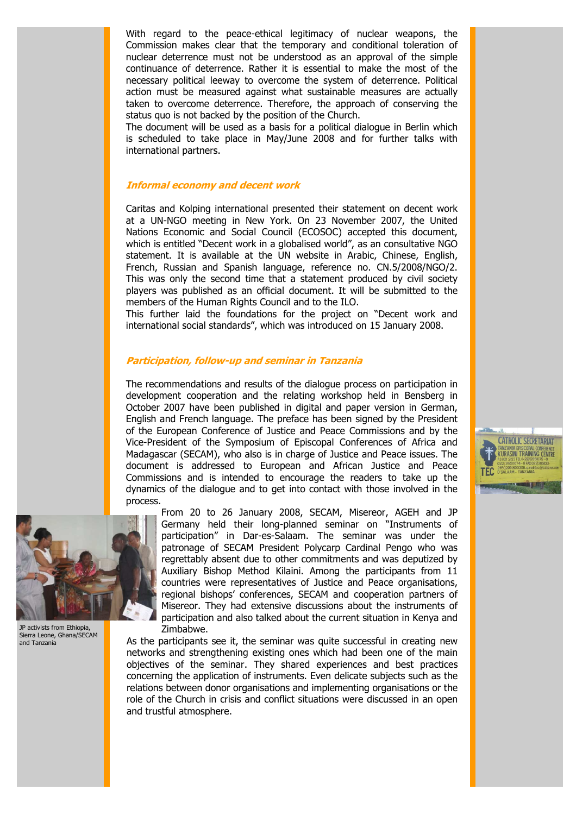With regard to the peace-ethical legitimacy of nuclear weapons, the Commission makes clear that the temporary and conditional toleration of nuclear deterrence must not be understood as an approval of the simple continuance of deterrence. Rather it is essential to make the most of the necessary political leeway to overcome the system of deterrence. Political action must be measured against what sustainable measures are actually taken to overcome deterrence. Therefore, the approach of conserving the status quo is not backed by the position of the Church.

The document will be used as a basis for a political dialogue in Berlin which is scheduled to take place in May/June 2008 and for further talks with international partners.

# **Informal economy and decent work**

Caritas and Kolping international presented their statement on decent work at a UN-NGO meeting in New York. On 23 November 2007, the United Nations Economic and Social Council (ECOSOC) accepted this document, which is entitled "Decent work in a globalised world", as an consultative NGO statement. It is available at the UN website in Arabic, Chinese, English, French, Russian and Spanish language, reference no. CN.5/2008/NGO/2. This was only the second time that a statement produced by civil society players was published as an official document. It will be submitted to the members of the Human Rights Council and to the ILO.

This further laid the foundations for the project on "Decent work and international social standards", which was introduced on 15 January 2008.

#### **Participation, follow-up and seminar in Tanzania**

The recommendations and results of the dialogue process on participation in development cooperation and the relating workshop held in Bensberg in October 2007 have been published in digital and paper version in German, English and French language. The preface has been signed by the President of the European Conference of Justice and Peace Commissions and by the Vice-President of the Symposium of Episcopal Conferences of Africa and Madagascar (SECAM), who also is in charge of Justice and Peace issues. The document is addressed to European and African Justice and Peace Commissions and is intended to encourage the readers to take up the dynamics of the dialogue and to get into contact with those involved in the process.

**CATHOLIC SECRETARIAT** WAANIA EPISCOPAL CONFERENC

**WEBSTERS** 



JP activists from Ethiopia, Sierra Leone, Ghana/SECAM and Tanzania

From 20 to 26 January 2008, SECAM, Misereor, AGEH and JP Germany held their long-planned seminar on "Instruments of participation" in Dar-es-Salaam. The seminar was under the patronage of SECAM President Polycarp Cardinal Pengo who was regrettably absent due to other commitments and was deputized by Auxiliary Bishop Method Kilaini. Among the participants from 11 countries were representatives of Justice and Peace organisations, regional bishops' conferences, SECAM and cooperation partners of Misereor. They had extensive discussions about the instruments of participation and also talked about the current situation in Kenya and Zimbabwe.

As the participants see it, the seminar was quite successful in creating new networks and strengthening existing ones which had been one of the main objectives of the seminar. They shared experiences and best practices concerning the application of instruments. Even delicate subjects such as the relations between donor organisations and implementing organisations or the role of the Church in crisis and conflict situations were discussed in an open and trustful atmosphere.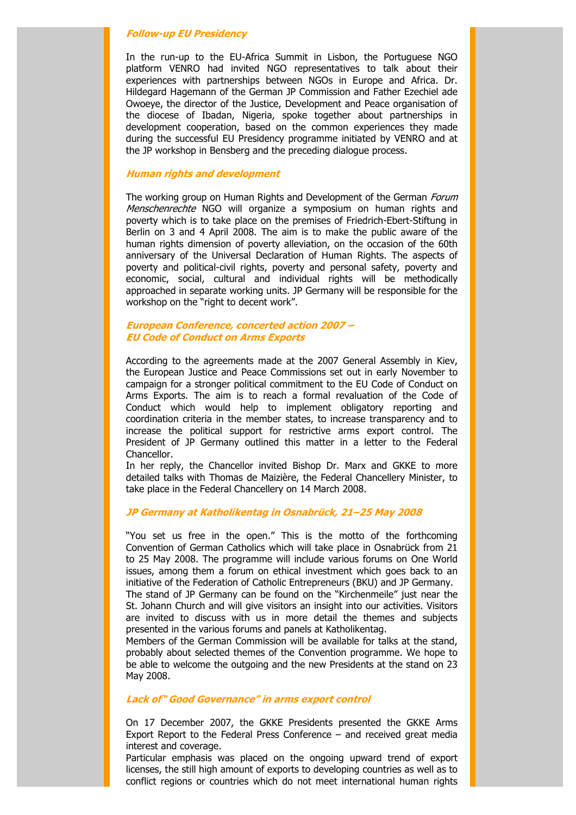#### **Follow-up EU Presidency**

In the run-up to the EU-Africa Summit in Lisbon, the Portuguese NGO platform VENRO had invited NGO representatives to talk about their experiences with partnerships between NGOs in Europe and Africa. Dr. Hildegard Hagemann of the German JP Commission and Father Ezechiel ade Owoeye, the director of the Justice, Development and Peace organisation of the diocese of Ibadan, Nigeria, spoke together about partnerships in development cooperation, based on the common experiences they made during the successful EU Presidency programme initiated by VENRO and at the JP workshop in Bensberg and the preceding dialogue process.

# **Human rights and development**

The working group on Human Rights and Development of the German *Forum* Menschenrechte NGO will organize a symposium on human rights and poverty which is to take place on the premises of Friedrich-Ebert-Stiftung in Berlin on 3 and 4 April 2008. The aim is to make the public aware of the human rights dimension of poverty alleviation, on the occasion of the 60th anniversary of the Universal Declaration of Human Rights. The aspects of poverty and political-civil rights, poverty and personal safety, poverty and economic, social, cultural and individual rights will be methodically approached in separate working units. JP Germany will be responsible for the workshop on the "right to decent work".

# **European Conference, concerted action 2007 – EU Code of Conduct on Arms Exports**

According to the agreements made at the 2007 General Assembly in Kiev, the European Justice and Peace Commissions set out in early November to campaign for a stronger political commitment to the EU Code of Conduct on Arms Exports. The aim is to reach a formal revaluation of the Code of Conduct which would help to implement obligatory reporting and coordination criteria in the member states, to increase transparency and to increase the political support for restrictive arms export control. The President of JP Germany outlined this matter in a letter to the Federal Chancellor.

In her reply, the Chancellor invited Bishop Dr. Marx and GKKE to more detailed talks with Thomas de Maizière, the Federal Chancellery Minister, to take place in the Federal Chancellery on 14 March 2008.

# **JP Germany at Katholikentag in Osnabrück, 21–25 May 2008**

"You set us free in the open." This is the motto of the forthcoming Convention of German Catholics which will take place in Osnabrück from 21 to 25 May 2008. The programme will include various forums on One World issues, among them a forum on ethical investment which goes back to an initiative of the Federation of Catholic Entrepreneurs (BKU) and JP Germany.

The stand of JP Germany can be found on the "Kirchenmeile" just near the St. Johann Church and will give visitors an insight into our activities. Visitors are invited to discuss with us in more detail the themes and subjects presented in the various forums and panels at Katholikentag.

Members of the German Commission will be available for talks at the stand, probably about selected themes of the Convention programme. We hope to be able to welcome the outgoing and the new Presidents at the stand on 23 May 2008.

#### **Lack of "Good Governance" in arms export control**

On 17 December 2007, the GKKE Presidents presented the GKKE Arms Export Report to the Federal Press Conference – and received great media interest and coverage.

Particular emphasis was placed on the ongoing upward trend of export licenses, the still high amount of exports to developing countries as well as to conflict regions or countries which do not meet international human rights